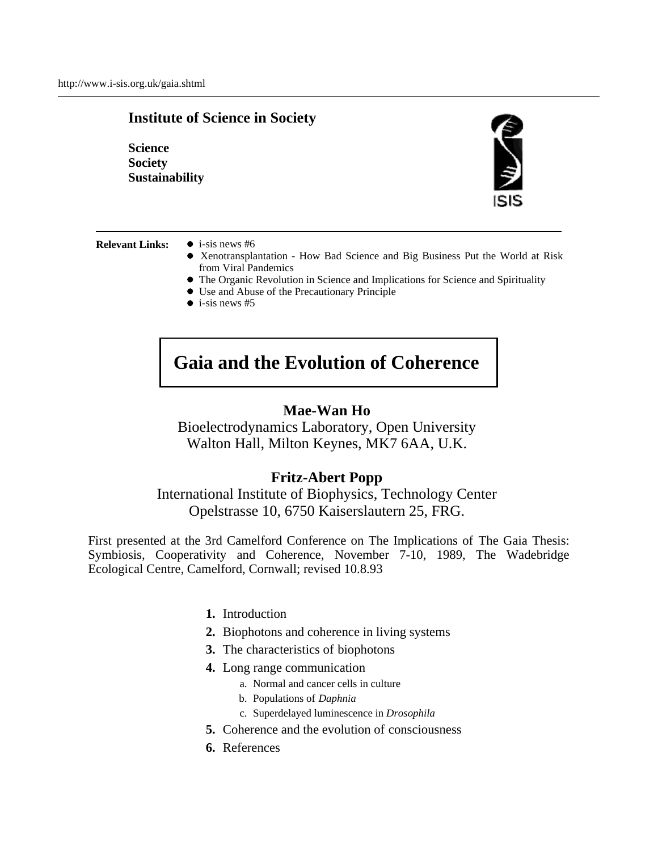# **Institute of Science in Society**

**Science Society Sustainability** 



**Relevant Links:**  $\bullet$  i-sis news #6

- Xenotransplantation How Bad Science and Big Business Put the World at Risk from Viral Pandemics
- The Organic Revolution in Science and Implications for Science and Spirituality
- Use and Abuse of the Precautionary Principle
- $\bullet$  i-sis news #5

# **Gaia and the Evolution of Coherence**

# **Mae-Wan Ho**

Bioelectrodynamics Laboratory, Open University Walton Hall, Milton Keynes, MK7 6AA, U.K.

## **Fritz-Abert Popp**

International Institute of Biophysics, Technology Center Opelstrasse 10, 6750 Kaiserslautern 25, FRG.

First presented at the 3rd Camelford Conference on The Implications of The Gaia Thesis: Symbiosis, Cooperativity and Coherence, November 7-10, 1989, The Wadebridge Ecological Centre, Camelford, Cornwall; revised 10.8.93

- **1.** Introduction
- **2.** Biophotons and coherence in living systems
- **3.** The characteristics of biophotons
- **4.** Long range communication
	- a. Normal and cancer cells in culture
	- b. Populations of *Daphnia*
	- c. Superdelayed luminescence in *Drosophila*
- **5.** Coherence and the evolution of consciousness
- **6.** References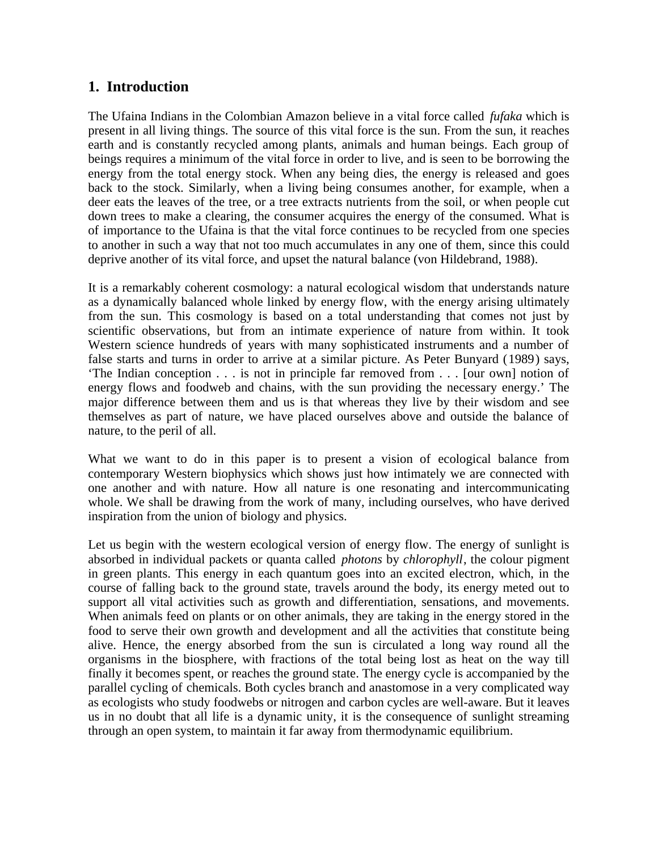# **1. Introduction**

The Ufaina Indians in the Colombian Amazon believe in a vital force called *fufaka* which is present in all living things. The source of this vital force is the sun. From the sun, it reaches earth and is constantly recycled among plants, animals and human beings. Each group of beings requires a minimum of the vital force in order to live, and is seen to be borrowing the energy from the total energy stock. When any being dies, the energy is released and goes back to the stock. Similarly, when a living being consumes another, for example, when a deer eats the leaves of the tree, or a tree extracts nutrients from the soil, or when people cut down trees to make a clearing, the consumer acquires the energy of the consumed. What is of importance to the Ufaina is that the vital force continues to be recycled from one species to another in such a way that not too much accumulates in any one of them, since this could deprive another of its vital force, and upset the natural balance (von Hildebrand, 1988).

It is a remarkably coherent cosmology: a natural ecological wisdom that understands nature as a dynamically balanced whole linked by energy flow, with the energy arising ultimately from the sun. This cosmology is based on a total understanding that comes not just by scientific observations, but from an intimate experience of nature from within. It took Western science hundreds of years with many sophisticated instruments and a number of false starts and turns in order to arrive at a similar picture. As Peter Bunyard (1989) says, 'The Indian conception . . . is not in principle far removed from . . . [our own] notion of energy flows and foodweb and chains, with the sun providing the necessary energy.' The major difference between them and us is that whereas they live by their wisdom and see themselves as part of nature, we have placed ourselves above and outside the balance of nature, to the peril of all.

What we want to do in this paper is to present a vision of ecological balance from contemporary Western biophysics which shows just how intimately we are connected with one another and with nature. How all nature is one resonating and intercommunicating whole. We shall be drawing from the work of many, including ourselves, who have derived inspiration from the union of biology and physics.

Let us begin with the western ecological version of energy flow. The energy of sunlight is absorbed in individual packets or quanta called *photons* by *chlorophyll*, the colour pigment in green plants. This energy in each quantum goes into an excited electron, which, in the course of falling back to the ground state, travels around the body, its energy meted out to support all vital activities such as growth and differentiation, sensations, and movements. When animals feed on plants or on other animals, they are taking in the energy stored in the food to serve their own growth and development and all the activities that constitute being alive. Hence, the energy absorbed from the sun is circulated a long way round all the organisms in the biosphere, with fractions of the total being lost as heat on the way till finally it becomes spent, or reaches the ground state. The energy cycle is accompanied by the parallel cycling of chemicals. Both cycles branch and anastomose in a very complicated way as ecologists who study foodwebs or nitrogen and carbon cycles are well-aware. But it leaves us in no doubt that all life is a dynamic unity, it is the consequence of sunlight streaming through an open system, to maintain it far away from thermodynamic equilibrium.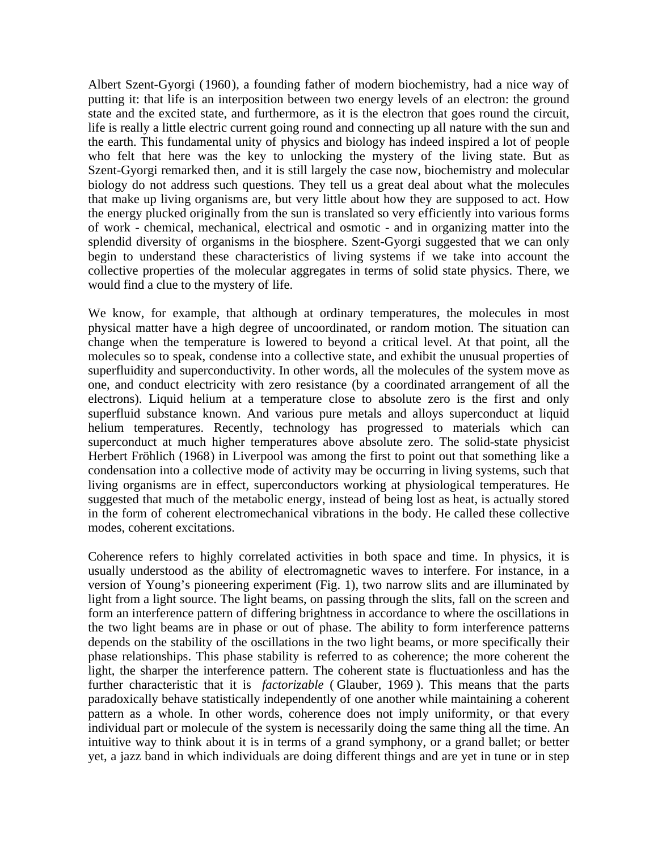Albert Szent-Gyorgi (1960), a founding father of modern biochemistry, had a nice way of putting it: that life is an interposition between two energy levels of an electron: the ground state and the excited state, and furthermore, as it is the electron that goes round the circuit, life is really a little electric current going round and connecting up all nature with the sun and the earth. This fundamental unity of physics and biology has indeed inspired a lot of people who felt that here was the key to unlocking the mystery of the living state. But as Szent-Gyorgi remarked then, and it is still largely the case now, biochemistry and molecular biology do not address such questions. They tell us a great deal about what the molecules that make up living organisms are, but very little about how they are supposed to act. How the energy plucked originally from the sun is translated so very efficiently into various forms of work - chemical, mechanical, electrical and osmotic - and in organizing matter into the splendid diversity of organisms in the biosphere. Szent-Gyorgi suggested that we can only begin to understand these characteristics of living systems if we take into account the collective properties of the molecular aggregates in terms of solid state physics. There, we would find a clue to the mystery of life.

We know, for example, that although at ordinary temperatures, the molecules in most physical matter have a high degree of uncoordinated, or random motion. The situation can change when the temperature is lowered to beyond a critical level. At that point, all the molecules so to speak, condense into a collective state, and exhibit the unusual properties of superfluidity and superconductivity. In other words, all the molecules of the system move as one, and conduct electricity with zero resistance (by a coordinated arrangement of all the electrons). Liquid helium at a temperature close to absolute zero is the first and only superfluid substance known. And various pure metals and alloys superconduct at liquid helium temperatures. Recently, technology has progressed to materials which can superconduct at much higher temperatures above absolute zero. The solid-state physicist Herbert Fröhlich (1968) in Liverpool was among the first to point out that something like a condensation into a collective mode of activity may be occurring in living systems, such that living organisms are in effect, superconductors working at physiological temperatures. He suggested that much of the metabolic energy, instead of being lost as heat, is actually stored in the form of coherent electromechanical vibrations in the body. He called these collective modes, coherent excitations.

Coherence refers to highly correlated activities in both space and time. In physics, it is usually understood as the ability of electromagnetic waves to interfere. For instance, in a version of Young's pioneering experiment (Fig. 1), two narrow slits and are illuminated by light from a light source. The light beams, on passing through the slits, fall on the screen and form an interference pattern of differing brightness in accordance to where the oscillations in the two light beams are in phase or out of phase. The ability to form interference patterns depends on the stability of the oscillations in the two light beams, or more specifically their phase relationships. This phase stability is referred to as coherence; the more coherent the light, the sharper the interference pattern. The coherent state is fluctuationless and has the further characteristic that it is *factorizable* ( Glauber, 1969 ). This means that the parts paradoxically behave statistically independently of one another while maintaining a coherent pattern as a whole. In other words, coherence does not imply uniformity, or that every individual part or molecule of the system is necessarily doing the same thing all the time. An intuitive way to think about it is in terms of a grand symphony, or a grand ballet; or better yet, a jazz band in which individuals are doing different things and are yet in tune or in step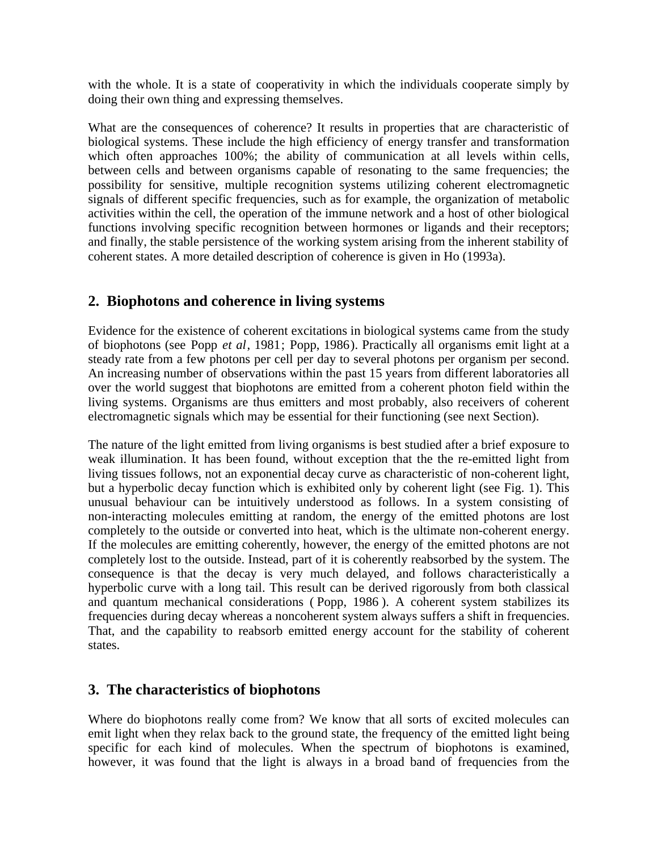with the whole. It is a state of cooperativity in which the individuals cooperate simply by doing their own thing and expressing themselves.

What are the consequences of coherence? It results in properties that are characteristic of biological systems. These include the high efficiency of energy transfer and transformation which often approaches 100%; the ability of communication at all levels within cells, between cells and between organisms capable of resonating to the same frequencies; the possibility for sensitive, multiple recognition systems utilizing coherent electromagnetic signals of different specific frequencies, such as for example, the organization of metabolic activities within the cell, the operation of the immune network and a host of other biological functions involving specific recognition between hormones or ligands and their receptors; and finally, the stable persistence of the working system arising from the inherent stability of coherent states. A more detailed description of coherence is given in Ho (1993a).

# **2. Biophotons and coherence in living systems**

Evidence for the existence of coherent excitations in biological systems came from the study of biophotons (see Popp *et al*, 1981; Popp, 1986). Practically all organisms emit light at a steady rate from a few photons per cell per day to several photons per organism per second. An increasing number of observations within the past 15 years from different laboratories all over the world suggest that biophotons are emitted from a coherent photon field within the living systems. Organisms are thus emitters and most probably, also receivers of coherent electromagnetic signals which may be essential for their functioning (see next Section).

The nature of the light emitted from living organisms is best studied after a brief exposure to weak illumination. It has been found, without exception that the the re-emitted light from living tissues follows, not an exponential decay curve as characteristic of non-coherent light, but a hyperbolic decay function which is exhibited only by coherent light (see Fig. 1). This unusual behaviour can be intuitively understood as follows. In a system consisting of non-interacting molecules emitting at random, the energy of the emitted photons are lost completely to the outside or converted into heat, which is the ultimate non-coherent energy. If the molecules are emitting coherently, however, the energy of the emitted photons are not completely lost to the outside. Instead, part of it is coherently reabsorbed by the system. The consequence is that the decay is very much delayed, and follows characteristically a hyperbolic curve with a long tail. This result can be derived rigorously from both classical and quantum mechanical considerations ( Popp, 1986 ). A coherent system stabilizes its frequencies during decay whereas a noncoherent system always suffers a shift in frequencies. That, and the capability to reabsorb emitted energy account for the stability of coherent states.

# **3. The characteristics of biophotons**

Where do biophotons really come from? We know that all sorts of excited molecules can emit light when they relax back to the ground state, the frequency of the emitted light being specific for each kind of molecules. When the spectrum of biophotons is examined, however, it was found that the light is always in a broad band of frequencies from the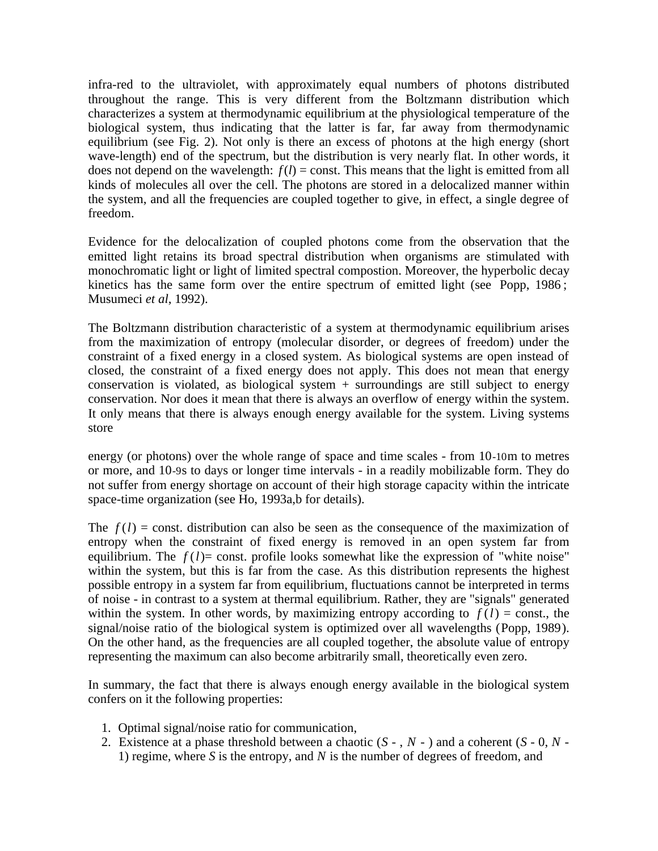infra-red to the ultraviolet, with approximately equal numbers of photons distributed throughout the range. This is very different from the Boltzmann distribution which characterizes a system at thermodynamic equilibrium at the physiological temperature of the biological system, thus indicating that the latter is far, far away from thermodynamic equilibrium (see Fig. 2). Not only is there an excess of photons at the high energy (short wave-length) end of the spectrum, but the distribution is very nearly flat. In other words, it does not depend on the wavelength:  $f(l) =$  const. This means that the light is emitted from all kinds of molecules all over the cell. The photons are stored in a delocalized manner within the system, and all the frequencies are coupled together to give, in effect, a single degree of freedom.

Evidence for the delocalization of coupled photons come from the observation that the emitted light retains its broad spectral distribution when organisms are stimulated with monochromatic light or light of limited spectral compostion. Moreover, the hyperbolic decay kinetics has the same form over the entire spectrum of emitted light (see Popp, 1986 ; Musumeci *et al*, 1992).

The Boltzmann distribution characteristic of a system at thermodynamic equilibrium arises from the maximization of entropy (molecular disorder, or degrees of freedom) under the constraint of a fixed energy in a closed system. As biological systems are open instead of closed, the constraint of a fixed energy does not apply. This does not mean that energy conservation is violated, as biological system  $+$  surroundings are still subject to energy conservation. Nor does it mean that there is always an overflow of energy within the system. It only means that there is always enough energy available for the system. Living systems store

energy (or photons) over the whole range of space and time scales - from 10-10m to metres or more, and 10-9s to days or longer time intervals - in a readily mobilizable form. They do not suffer from energy shortage on account of their high storage capacity within the intricate space-time organization (see Ho, 1993a,b for details).

The  $f(l)$  = const. distribution can also be seen as the consequence of the maximization of entropy when the constraint of fixed energy is removed in an open system far from equilibrium. The  $f(l)$ = const. profile looks somewhat like the expression of "white noise" within the system, but this is far from the case. As this distribution represents the highest possible entropy in a system far from equilibrium, fluctuations cannot be interpreted in terms of noise - in contrast to a system at thermal equilibrium. Rather, they are "signals" generated within the system. In other words, by maximizing entropy according to  $f(l) = \text{const.}$ , the signal/noise ratio of the biological system is optimized over all wavelengths (Popp, 1989). On the other hand, as the frequencies are all coupled together, the absolute value of entropy representing the maximum can also become arbitrarily small, theoretically even zero.

In summary, the fact that there is always enough energy available in the biological system confers on it the following properties:

- 1. Optimal signal/noise ratio for communication,
- 2. Existence at a phase threshold between a chaotic (*S* , *N*  ) and a coherent (*S* 0, *N -* 1) regime, where *S* is the entropy, and *N* is the number of degrees of freedom, and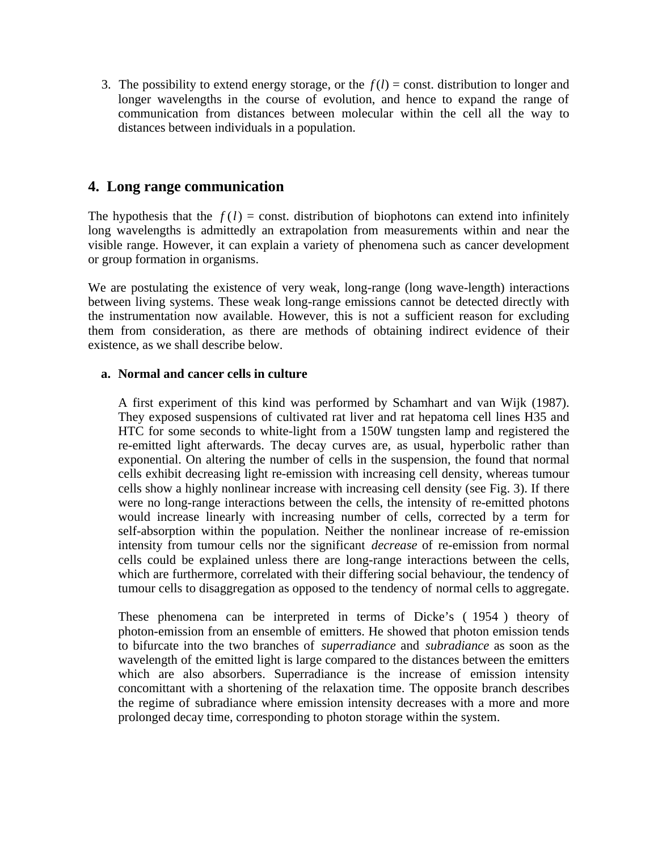3. The possibility to extend energy storage, or the  $f(l) = \text{const.}$  distribution to longer and longer wavelengths in the course of evolution, and hence to expand the range of communication from distances between molecular within the cell all the way to distances between individuals in a population.

## **4. Long range communication**

The hypothesis that the  $f(l)$  = const. distribution of biophotons can extend into infinitely long wavelengths is admittedly an extrapolation from measurements within and near the visible range. However, it can explain a variety of phenomena such as cancer development or group formation in organisms.

We are postulating the existence of very weak, long-range (long wave-length) interactions between living systems. These weak long-range emissions cannot be detected directly with the instrumentation now available. However, this is not a sufficient reason for excluding them from consideration, as there are methods of obtaining indirect evidence of their existence, as we shall describe below.

### **a. Normal and cancer cells in culture**

A first experiment of this kind was performed by Schamhart and van Wijk (1987). They exposed suspensions of cultivated rat liver and rat hepatoma cell lines H35 and HTC for some seconds to white-light from a 150W tungsten lamp and registered the re-emitted light afterwards. The decay curves are, as usual, hyperbolic rather than exponential. On altering the number of cells in the suspension, the found that normal cells exhibit decreasing light re-emission with increasing cell density, whereas tumour cells show a highly nonlinear increase with increasing cell density (see Fig. 3). If there were no long-range interactions between the cells, the intensity of re-emitted photons would increase linearly with increasing number of cells, corrected by a term for self-absorption within the population. Neither the nonlinear increase of re-emission intensity from tumour cells nor the significant *decrease* of re-emission from normal cells could be explained unless there are long-range interactions between the cells, which are furthermore, correlated with their differing social behaviour, the tendency of tumour cells to disaggregation as opposed to the tendency of normal cells to aggregate.

These phenomena can be interpreted in terms of Dicke's ( 1954 ) theory of photon-emission from an ensemble of emitters. He showed that photon emission tends to bifurcate into the two branches of *superradiance* and *subradiance* as soon as the wavelength of the emitted light is large compared to the distances between the emitters which are also absorbers. Superradiance is the increase of emission intensity concomittant with a shortening of the relaxation time. The opposite branch describes the regime of subradiance where emission intensity decreases with a more and more prolonged decay time, corresponding to photon storage within the system.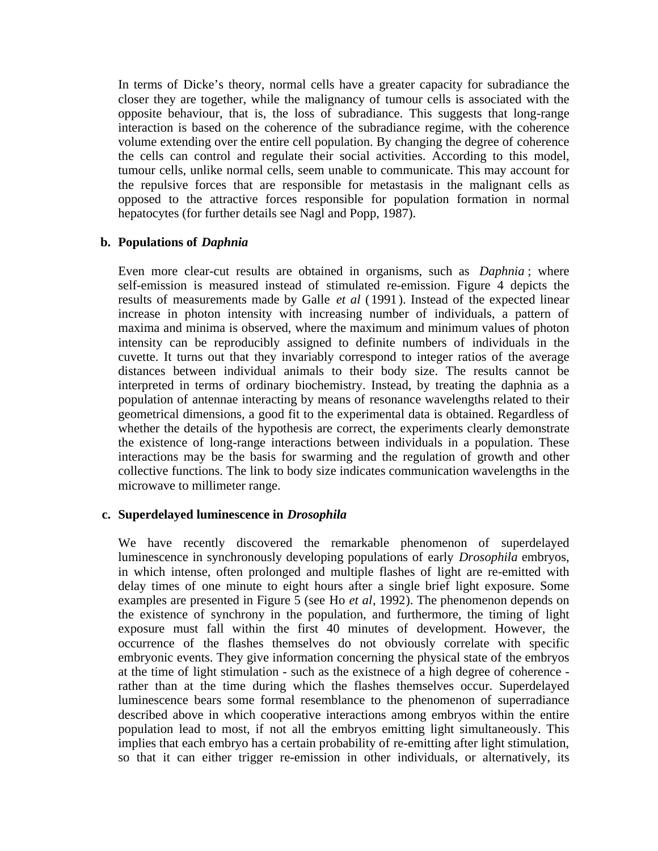In terms of Dicke's theory, normal cells have a greater capacity for subradiance the closer they are together, while the malignancy of tumour cells is associated with the opposite behaviour, that is, the loss of subradiance. This suggests that long-range interaction is based on the coherence of the subradiance regime, with the coherence volume extending over the entire cell population. By changing the degree of coherence the cells can control and regulate their social activities. According to this model, tumour cells, unlike normal cells, seem unable to communicate. This may account for the repulsive forces that are responsible for metastasis in the malignant cells as opposed to the attractive forces responsible for population formation in normal hepatocytes (for further details see Nagl and Popp, 1987).

### **b. Populations of** *Daphnia*

Even more clear-cut results are obtained in organisms, such as *Daphnia* ; where self-emission is measured instead of stimulated re-emission. Figure 4 depicts the results of measurements made by Galle *et al* (1991 ). Instead of the expected linear increase in photon intensity with increasing number of individuals, a pattern of maxima and minima is observed, where the maximum and minimum values of photon intensity can be reproducibly assigned to definite numbers of individuals in the cuvette. It turns out that they invariably correspond to integer ratios of the average distances between individual animals to their body size. The results cannot be interpreted in terms of ordinary biochemistry. Instead, by treating the daphnia as a population of antennae interacting by means of resonance wavelengths related to their geometrical dimensions, a good fit to the experimental data is obtained. Regardless of whether the details of the hypothesis are correct, the experiments clearly demonstrate the existence of long-range interactions between individuals in a population. These interactions may be the basis for swarming and the regulation of growth and other collective functions. The link to body size indicates communication wavelengths in the microwave to millimeter range.

## **c. Superdelayed luminescence in** *Drosophila*

We have recently discovered the remarkable phenomenon of superdelayed luminescence in synchronously developing populations of early *Drosophila* embryos, in which intense, often prolonged and multiple flashes of light are re-emitted with delay times of one minute to eight hours after a single brief light exposure. Some examples are presented in Figure 5 (see Ho *et al*, 1992). The phenomenon depends on the existence of synchrony in the population, and furthermore, the timing of light exposure must fall within the first 40 minutes of development. However, the occurrence of the flashes themselves do not obviously correlate with specific embryonic events. They give information concerning the physical state of the embryos at the time of light stimulation - such as the existnece of a high degree of coherence rather than at the time during which the flashes themselves occur. Superdelayed luminescence bears some formal resemblance to the phenomenon of superradiance described above in which cooperative interactions among embryos within the entire population lead to most, if not all the embryos emitting light simultaneously. This implies that each embryo has a certain probability of re-emitting after light stimulation, so that it can either trigger re-emission in other individuals, or alternatively, its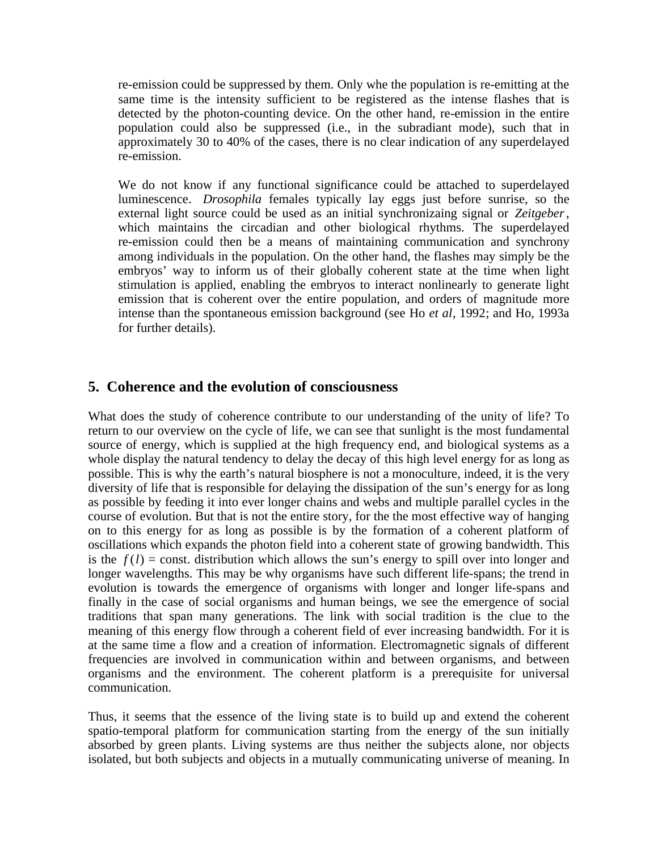re-emission could be suppressed by them. Only whe the population is re-emitting at the same time is the intensity sufficient to be registered as the intense flashes that is detected by the photon-counting device. On the other hand, re-emission in the entire population could also be suppressed (i.e., in the subradiant mode), such that in approximately 30 to 40% of the cases, there is no clear indication of any superdelayed re-emission.

We do not know if any functional significance could be attached to superdelayed luminescence. *Drosophila* females typically lay eggs just before sunrise, so the external light source could be used as an initial synchronizaing signal or *Zeitgeber*, which maintains the circadian and other biological rhythms. The superdelayed re-emission could then be a means of maintaining communication and synchrony among individuals in the population. On the other hand, the flashes may simply be the embryos' way to inform us of their globally coherent state at the time when light stimulation is applied, enabling the embryos to interact nonlinearly to generate light emission that is coherent over the entire population, and orders of magnitude more intense than the spontaneous emission background (see Ho *et al*, 1992; and Ho, 1993a for further details).

## **5. Coherence and the evolution of consciousness**

What does the study of coherence contribute to our understanding of the unity of life? To return to our overview on the cycle of life, we can see that sunlight is the most fundamental source of energy, which is supplied at the high frequency end, and biological systems as a whole display the natural tendency to delay the decay of this high level energy for as long as possible. This is why the earth's natural biosphere is not a monoculture, indeed, it is the very diversity of life that is responsible for delaying the dissipation of the sun's energy for as long as possible by feeding it into ever longer chains and webs and multiple parallel cycles in the course of evolution. But that is not the entire story, for the the most effective way of hanging on to this energy for as long as possible is by the formation of a coherent platform of oscillations which expands the photon field into a coherent state of growing bandwidth. This is the  $f(l)$  = const. distribution which allows the sun's energy to spill over into longer and longer wavelengths. This may be why organisms have such different life-spans; the trend in evolution is towards the emergence of organisms with longer and longer life-spans and finally in the case of social organisms and human beings, we see the emergence of social traditions that span many generations. The link with social tradition is the clue to the meaning of this energy flow through a coherent field of ever increasing bandwidth. For it is at the same time a flow and a creation of information. Electromagnetic signals of different frequencies are involved in communication within and between organisms, and between organisms and the environment. The coherent platform is a prerequisite for universal communication.

Thus, it seems that the essence of the living state is to build up and extend the coherent spatio-temporal platform for communication starting from the energy of the sun initially absorbed by green plants. Living systems are thus neither the subjects alone, nor objects isolated, but both subjects and objects in a mutually communicating universe of meaning. In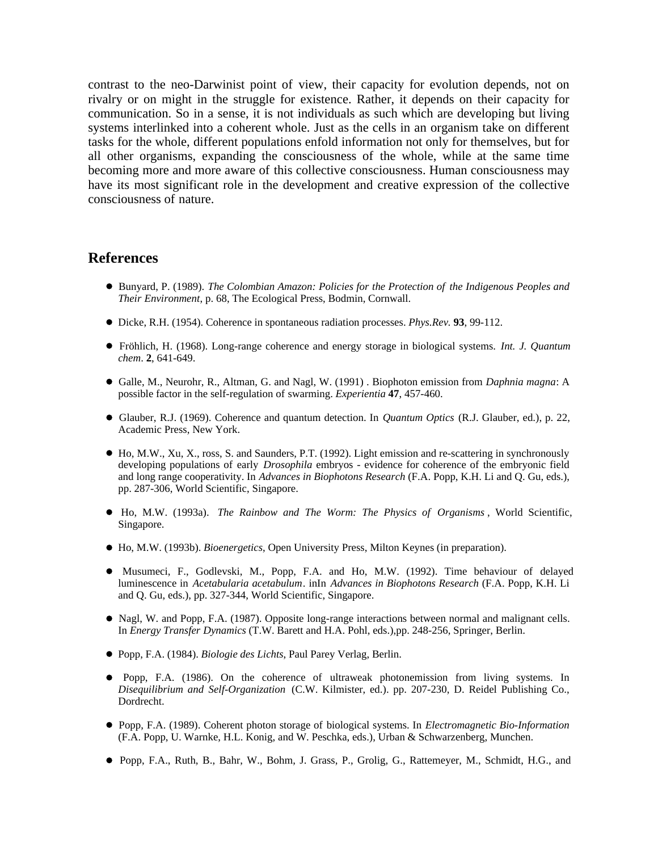contrast to the neo-Darwinist point of view, their capacity for evolution depends, not on rivalry or on might in the struggle for existence. Rather, it depends on their capacity for communication. So in a sense, it is not individuals as such which are developing but living systems interlinked into a coherent whole. Just as the cells in an organism take on different tasks for the whole, different populations enfold information not only for themselves, but for all other organisms, expanding the consciousness of the whole, while at the same time becoming more and more aware of this collective consciousness. Human consciousness may have its most significant role in the development and creative expression of the collective consciousness of nature.

### **References**

- Bunyard, P. (1989). *The Colombian Amazon: Policies for the Protection of the Indigenous Peoples and Their Environment*, p. 68, The Ecological Press, Bodmin, Cornwall.
- Dicke, R.H. (1954). Coherence in spontaneous radiation processes. *Phys.Rev.* **93**, 99-112.
- Fröhlich, H. (1968). Long-range coherence and energy storage in biological systems. *Int. J. Quantum chem*. **2**, 641-649.
- Galle, M., Neurohr, R., Altman, G. and Nagl, W. (1991) . Biophoton emission from *Daphnia magna*: A possible factor in the self-regulation of swarming. *Experientia* **47**, 457-460.
- Glauber, R.J. (1969). Coherence and quantum detection. In *Quantum Optics* (R.J. Glauber, ed.), p. 22, Academic Press, New York.
- $\bullet$  Ho, M.W., Xu, X., ross, S. and Saunders, P.T. (1992). Light emission and re-scattering in synchronously developing populations of early *Drosophila* embryos - evidence for coherence of the embryonic field and long range cooperativity. In *Advances in Biophotons Research* (F.A. Popp, K.H. Li and Q. Gu, eds.), pp. 287-306, World Scientific, Singapore.
- Ho, M.W. (1993a). *The Rainbow and The Worm: The Physics of Organisms* , World Scientific, Singapore.
- Ho, M.W. (1993b). *Bioenergetics*, Open University Press, Milton Keynes (in preparation).
- Musumeci, F., Godlevski, M., Popp, F.A. and Ho, M.W. (1992). Time behaviour of delayed luminescence in *Acetabularia acetabulum*. inIn *Advances in Biophotons Research* (F.A. Popp, K.H. Li and Q. Gu, eds.), pp. 327-344, World Scientific, Singapore.
- Nagl, W. and Popp, F.A. (1987). Opposite long-range interactions between normal and malignant cells. In *Energy Transfer Dynamics* (T.W. Barett and H.A. Pohl, eds.),pp. 248-256, Springer, Berlin.
- Popp, F.A. (1984). *Biologie des Lichts*, Paul Parey Verlag, Berlin.
- Popp, F.A. (1986). On the coherence of ultraweak photonemission from living systems. In *Disequilibrium and Self-Organization* (C.W. Kilmister, ed.). pp. 207-230, D. Reidel Publishing Co., Dordrecht.
- Popp, F.A. (1989). Coherent photon storage of biological systems. In *Electromagnetic Bio-Information* (F.A. Popp, U. Warnke, H.L. Konig, and W. Peschka, eds.), Urban & Schwarzenberg, Munchen.
- Popp, F.A., Ruth, B., Bahr, W., Bohm, J. Grass, P., Grolig, G., Rattemeyer, M., Schmidt, H.G., and